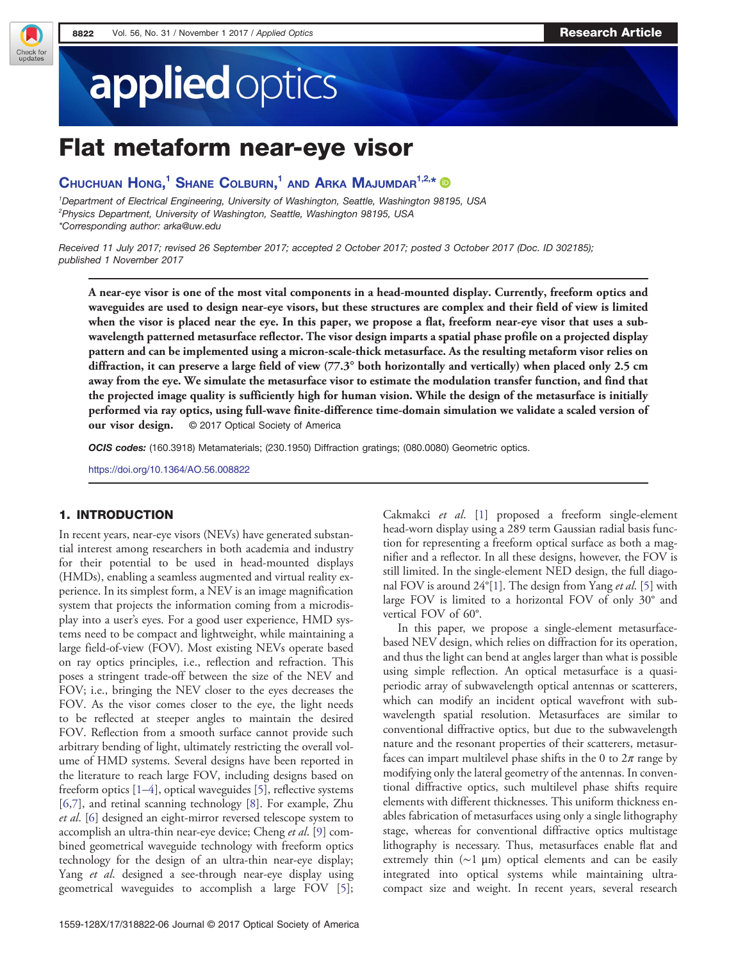Check for<br>updates

# applied optics

## **CHUCHUAN FIONG, SHANE COLBURN, AND ARKA MIAJUMDAR<sup>7</sup><sup>779</sup><br><sup>1</sup>Denartment of Electrical Engineering University of Washington Seattle Washington (**

n<br>Department of Electrical Engineering, University of Washington, Seattle, Washington 98195, USA 2 Physics Department, University of Washington, Seattle, Washington 98195, USA \*Corresponding author: [arka@uw.edu](mailto:arka@uw.edu)

Received 11 July 2017; revised 26 September 2017; accepted 2 October 2017; posted 3 October 2017 (Doc. ID 302185); published 1 November 2017

A near-eye visor is one of the most vital components in a head-mounted display. Currently, freeform optics and waveguides are used to design near-eye visors, but these structures are complex and their field of view is limited when the visor is placed near the eye. In this paper, we propose a flat, freeform near-eye visor that uses a subwavelength patterned metasurface reflector. The visor design imparts a spatial phase profile on a projected display pattern and can be implemented using a micron-scale-thick metasurface. As the resulting metaform visor relies on diffraction, it can preserve a large field of view (77.3° both horizontally and vertically) when placed only 2.5 cm away from the eye. We simulate the metasurface visor to estimate the modulation transfer function, and find that the projected image quality is sufficiently high for human vision. While the design of the metasurface is initially performed via ray optics, using full-wave finite-difference time-domain simulation we validate a scaled version of our visor design. © 2017 Optical Society of America

OCIS codes: (160.3918) Metamaterials; (230.1950) Diffraction gratings; (080.0080) Geometric optics.

<https://doi.org/10.1364/AO.56.008822>

## 1. INTRODUCTION

In recent years, near-eye visors (NEVs) have generated substantial interest among researchers in both academia and industry for their potential to be used in head-mounted displays (HMDs), enabling a seamless augmented and virtual reality experience. In its simplest form, a NEV is an image magnification system that projects the information coming from a microdisplay into a user's eyes. For a good user experience, HMD systems need to be compact and lightweight, while maintaining a large field-of-view (FOV). Most existing NEVs operate based on ray optics principles, i.e., reflection and refraction. This poses a stringent trade-off between the size of the NEV and FOV; i.e., bringing the NEV closer to the eyes decreases the FOV. As the visor comes closer to the eye, the light needs to be reflected at steeper angles to maintain the desired FOV. Reflection from a smooth surface cannot provide such arbitrary bending of light, ultimately restricting the overall volume of HMD systems. Several designs have been reported in the literature to reach large FOV, including designs based on freeform optics [[1](#page-5-0)–[4\]](#page-5-0), optical waveguides [[5\]](#page-5-0), reflective systems [\[6](#page-5-0),[7\]](#page-5-0), and retinal scanning technology [\[8](#page-5-0)]. For example, Zhu et al. [\[6](#page-5-0)] designed an eight-mirror reversed telescope system to accomplish an ultra-thin near-eye device; Cheng et al. [[9\]](#page-5-0) combined geometrical waveguide technology with freeform optics technology for the design of an ultra-thin near-eye display; Yang et al. designed a see-through near-eye display using geometrical waveguides to accomplish a large FOV [\[5](#page-5-0)]; Cakmakci et al. [[1\]](#page-5-0) proposed a freeform single-element head-worn display using a 289 term Gaussian radial basis function for representing a freeform optical surface as both a magnifier and a reflector. In all these designs, however, the FOV is still limited. In the single-element NED design, the full diagonal FOV is around  $24^{\circ}[1]$  $24^{\circ}[1]$ . The design from Yang *et al.* [\[5](#page-5-0)] with large FOV is limited to a horizontal FOV of only 30° and vertical FOV of 60°.

In this paper, we propose a single-element metasurfacebased NEV design, which relies on diffraction for its operation, and thus the light can bend at angles larger than what is possible using simple reflection. An optical metasurface is a quasiperiodic array of subwavelength optical antennas or scatterers, which can modify an incident optical wavefront with subwavelength spatial resolution. Metasurfaces are similar to conventional diffractive optics, but due to the subwavelength nature and the resonant properties of their scatterers, metasurfaces can impart multilevel phase shifts in the 0 to  $2\pi$  range by modifying only the lateral geometry of the antennas. In conventional diffractive optics, such multilevel phase shifts require elements with different thicknesses. This uniform thickness enables fabrication of metasurfaces using only a single lithography stage, whereas for conventional diffractive optics multistage lithography is necessary. Thus, metasurfaces enable flat and extremely thin (∼1 μm) optical elements and can be easily integrated into optical systems while maintaining ultracompact size and weight. In recent years, several research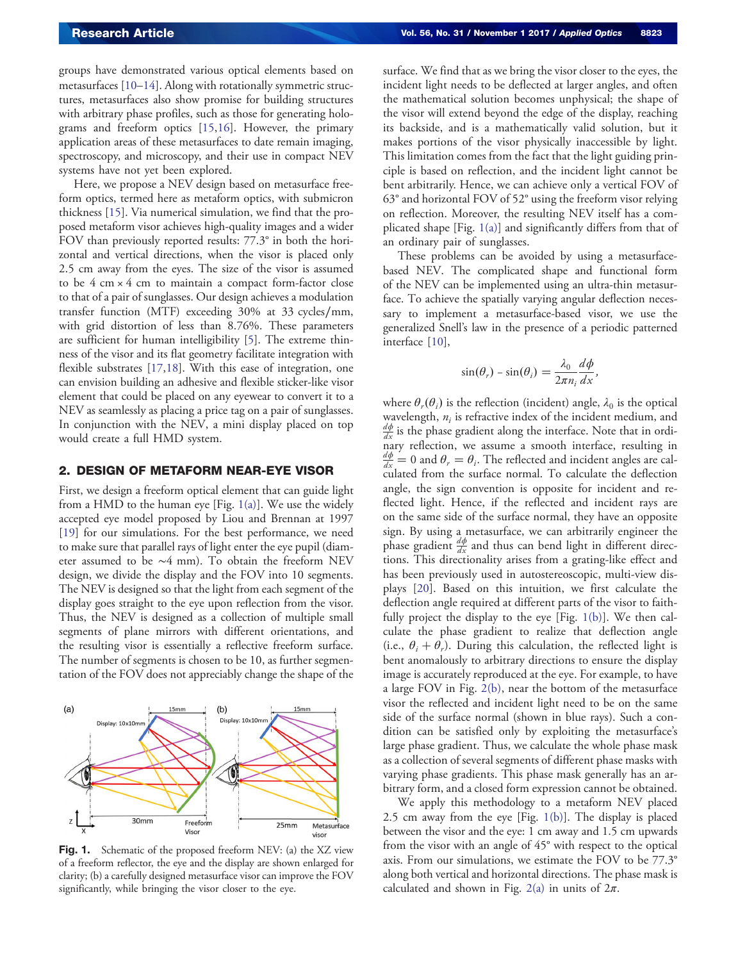groups have demonstrated various optical elements based on metasurfaces [[10](#page-5-0)–[14\]](#page-5-0). Along with rotationally symmetric structures, metasurfaces also show promise for building structures with arbitrary phase profiles, such as those for generating holograms and freeform optics [[15,16](#page-5-0)]. However, the primary application areas of these metasurfaces to date remain imaging, spectroscopy, and microscopy, and their use in compact NEV systems have not yet been explored.

Here, we propose a NEV design based on metasurface freeform optics, termed here as metaform optics, with submicron thickness [[15\]](#page-5-0). Via numerical simulation, we find that the proposed metaform visor achieves high-quality images and a wider FOV than previously reported results: 77.3° in both the horizontal and vertical directions, when the visor is placed only 2.5 cm away from the eyes. The size of the visor is assumed to be  $4 \text{ cm} \times 4 \text{ cm}$  to maintain a compact form-factor close to that of a pair of sunglasses. Our design achieves a modulation transfer function (MTF) exceeding 30% at 33 cycles∕mm, with grid distortion of less than 8.76%. These parameters are sufficient for human intelligibility [[5\]](#page-5-0). The extreme thinness of the visor and its flat geometry facilitate integration with flexible substrates [[17,18](#page-5-0)]. With this ease of integration, one can envision building an adhesive and flexible sticker-like visor element that could be placed on any eyewear to convert it to a NEV as seamlessly as placing a price tag on a pair of sunglasses. In conjunction with the NEV, a mini display placed on top would create a full HMD system.

## 2. DESIGN OF METAFORM NEAR-EYE VISOR

First, we design a freeform optical element that can guide light from a HMD to the human eye [Fig. 1(a)]. We use the widely accepted eye model proposed by Liou and Brennan at 1997 [\[19](#page-5-0)] for our simulations. For the best performance, we need to make sure that parallel rays of light enter the eye pupil (diameter assumed to be ∼4 mm). To obtain the freeform NEV design, we divide the display and the FOV into 10 segments. The NEV is designed so that the light from each segment of the display goes straight to the eye upon reflection from the visor. Thus, the NEV is designed as a collection of multiple small segments of plane mirrors with different orientations, and the resulting visor is essentially a reflective freeform surface. The number of segments is chosen to be 10, as further segmentation of the FOV does not appreciably change the shape of the



Fig. 1. Schematic of the proposed freeform NEV: (a) the XZ view of a freeform reflector, the eye and the display are shown enlarged for clarity; (b) a carefully designed metasurface visor can improve the FOV significantly, while bringing the visor closer to the eye.

surface. We find that as we bring the visor closer to the eyes, the incident light needs to be deflected at larger angles, and often the mathematical solution becomes unphysical; the shape of the visor will extend beyond the edge of the display, reaching its backside, and is a mathematically valid solution, but it makes portions of the visor physically inaccessible by light. This limitation comes from the fact that the light guiding principle is based on reflection, and the incident light cannot be bent arbitrarily. Hence, we can achieve only a vertical FOV of 63° and horizontal FOV of 52° using the freeform visor relying on reflection. Moreover, the resulting NEV itself has a complicated shape [Fig. 1(a)] and significantly differs from that of an ordinary pair of sunglasses.

These problems can be avoided by using a metasurfacebased NEV. The complicated shape and functional form of the NEV can be implemented using an ultra-thin metasurface. To achieve the spatially varying angular deflection necessary to implement a metasurface-based visor, we use the generalized Snell's law in the presence of a periodic patterned interface [\[10](#page-5-0)],

$$
\sin(\theta_r) - \sin(\theta_i) = \frac{\lambda_0}{2\pi n_i} \frac{d\phi}{dx},
$$

where  $\theta_r(\theta_i)$  is the reflection (incident) angle,  $\lambda_0$  is the optical wavelength,  $n_i$  is refractive index of the incident medium, and  $\frac{d\phi}{dx}$  is the phase gradient along the interface. Note that in ordinary reflection, we assume a smooth interface, resulting in  $\frac{d\phi}{dx} = 0$  and  $\theta_r = \theta_i$ . The reflected and incident angles are calculated from the surface normal. To calculate the deflection angle, the sign convention is opposite for incident and reflected light. Hence, if the reflected and incident rays are on the same side of the surface normal, they have an opposite sign. By using a metasurface, we can arbitrarily engineer the phase gradient  $\frac{d\phi}{dx}$  and thus can bend light in different directions. This directionality arises from a grating-like effect and has been previously used in autostereoscopic, multi-view displays [[20\]](#page-5-0). Based on this intuition, we first calculate the deflection angle required at different parts of the visor to faithfully project the display to the eye [Fig. 1(b)]. We then calculate the phase gradient to realize that deflection angle (i.e.,  $\theta_i + \theta_r$ ). During this calculation, the reflected light is bent anomalously to arbitrary directions to ensure the display image is accurately reproduced at the eye. For example, to have a large FOV in Fig. [2\(b\)](#page-2-0), near the bottom of the metasurface visor the reflected and incident light need to be on the same side of the surface normal (shown in blue rays). Such a condition can be satisfied only by exploiting the metasurface's large phase gradient. Thus, we calculate the whole phase mask as a collection of several segments of different phase masks with varying phase gradients. This phase mask generally has an arbitrary form, and a closed form expression cannot be obtained.

We apply this methodology to a metaform NEV placed 2.5 cm away from the eye [Fig. 1(b)]. The display is placed between the visor and the eye: 1 cm away and 1.5 cm upwards from the visor with an angle of 45° with respect to the optical axis. From our simulations, we estimate the FOV to be 77.3° along both vertical and horizontal directions. The phase mask is calculated and shown in Fig. [2\(a\)](#page-2-0) in units of  $2\pi$ .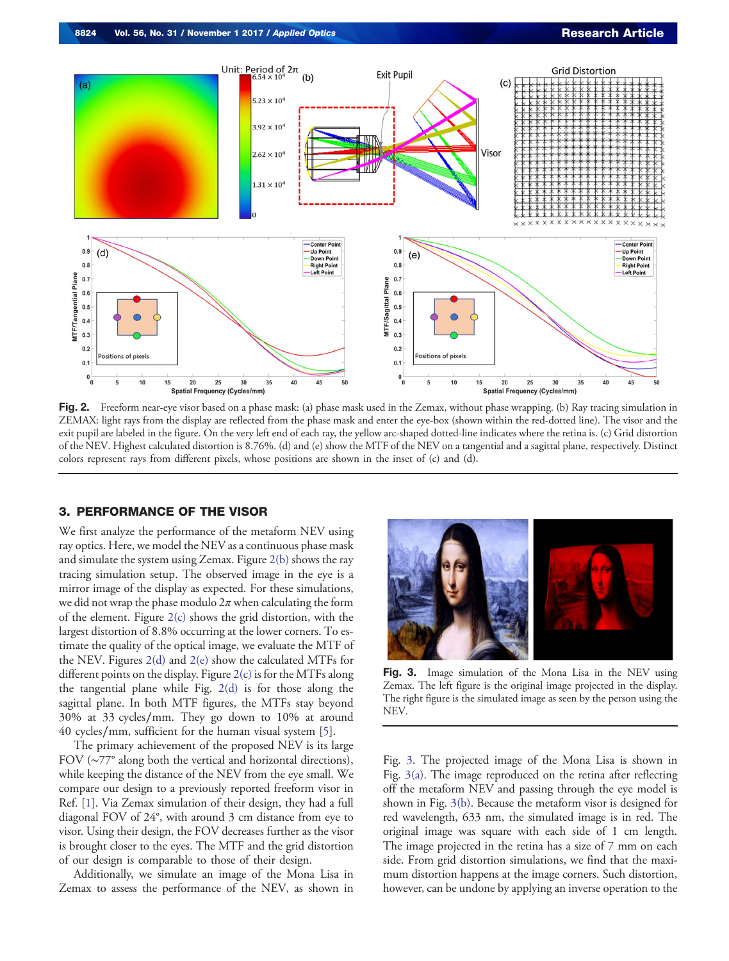<span id="page-2-0"></span>

Fig. 2. Freeform near-eye visor based on a phase mask: (a) phase mask used in the Zemax, without phase wrapping. (b) Ray tracing simulation in ZEMAX: light rays from the display are reflected from the phase mask and enter the eye-box (shown within the red-dotted line). The visor and the exit pupil are labeled in the figure. On the very left end of each ray, the yellow arc-shaped dotted-line indicates where the retina is. (c) Grid distortion of the NEV. Highest calculated distortion is 8.76%. (d) and (e) show the MTF of the NEV on a tangential and a sagittal plane, respectively. Distinct colors represent rays from different pixels, whose positions are shown in the inset of (c) and (d).

## 3. PERFORMANCE OF THE VISOR

We first analyze the performance of the metaform NEV using ray optics. Here, we model the NEV as a continuous phase mask and simulate the system using Zemax. Figure  $2(b)$  shows the ray tracing simulation setup. The observed image in the eye is a mirror image of the display as expected. For these simulations, we did not wrap the phase modulo  $2\pi$  when calculating the form of the element. Figure 2(c) shows the grid distortion, with the largest distortion of 8.8% occurring at the lower corners. To estimate the quality of the optical image, we evaluate the MTF of the NEV. Figures 2(d) and 2(e) show the calculated MTFs for different points on the display. Figure 2(c) is for the MTFs along the tangential plane while Fig. 2(d) is for those along the sagittal plane. In both MTF figures, the MTFs stay beyond 30% at 33 cycles∕mm. They go down to 10% at around 40 cycles∕mm, sufficient for the human visual system [\[5](#page-5-0)].

The primary achievement of the proposed NEV is its large FOV (∼77° along both the vertical and horizontal directions), while keeping the distance of the NEV from the eye small. We compare our design to a previously reported freeform visor in Ref. [\[1](#page-5-0)]. Via Zemax simulation of their design, they had a full diagonal FOV of 24°, with around 3 cm distance from eye to visor. Using their design, the FOV decreases further as the visor is brought closer to the eyes. The MTF and the grid distortion of our design is comparable to those of their design.

Additionally, we simulate an image of the Mona Lisa in Zemax to assess the performance of the NEV, as shown in



Fig. 3. Image simulation of the Mona Lisa in the NEV using Zemax. The left figure is the original image projected in the display. The right figure is the simulated image as seen by the person using the NEV.

Fig. 3. The projected image of the Mona Lisa is shown in Fig. 3(a). The image reproduced on the retina after reflecting off the metaform NEV and passing through the eye model is shown in Fig. 3(b). Because the metaform visor is designed for red wavelength, 633 nm, the simulated image is in red. The original image was square with each side of 1 cm length. The image projected in the retina has a size of 7 mm on each side. From grid distortion simulations, we find that the maximum distortion happens at the image corners. Such distortion, however, can be undone by applying an inverse operation to the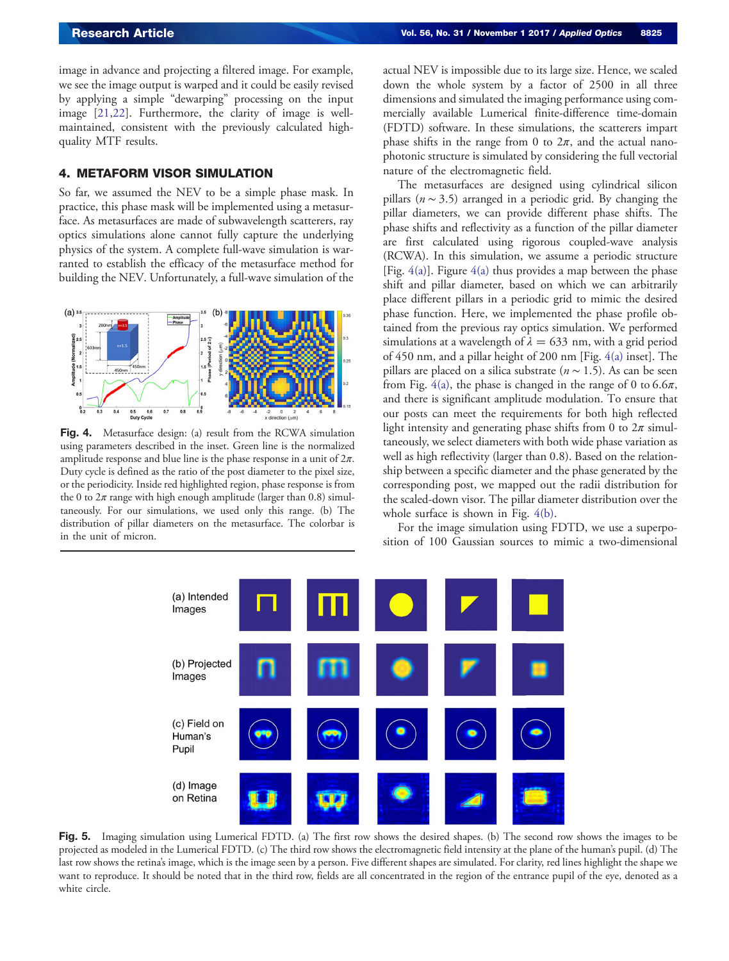<span id="page-3-0"></span>image in advance and projecting a filtered image. For example, we see the image output is warped and it could be easily revised by applying a simple "dewarping" processing on the input image [\[21](#page-5-0),[22\]](#page-5-0). Furthermore, the clarity of image is wellmaintained, consistent with the previously calculated highquality MTF results.

## 4. METAFORM VISOR SIMULATION

So far, we assumed the NEV to be a simple phase mask. In practice, this phase mask will be implemented using a metasurface. As metasurfaces are made of subwavelength scatterers, ray optics simulations alone cannot fully capture the underlying physics of the system. A complete full-wave simulation is warranted to establish the efficacy of the metasurface method for building the NEV. Unfortunately, a full-wave simulation of the



Fig. 4. Metasurface design: (a) result from the RCWA simulation using parameters described in the inset. Green line is the normalized amplitude response and blue line is the phase response in a unit of  $2\pi$ . Duty cycle is defined as the ratio of the post diameter to the pixel size, or the periodicity. Inside red highlighted region, phase response is from the 0 to  $2\pi$  range with high enough amplitude (larger than 0.8) simultaneously. For our simulations, we used only this range. (b) The distribution of pillar diameters on the metasurface. The colorbar is in the unit of micron.

actual NEV is impossible due to its large size. Hence, we scaled down the whole system by a factor of 2500 in all three dimensions and simulated the imaging performance using commercially available Lumerical finite-difference time-domain (FDTD) software. In these simulations, the scatterers impart phase shifts in the range from 0 to  $2\pi$ , and the actual nanophotonic structure is simulated by considering the full vectorial nature of the electromagnetic field.

The metasurfaces are designed using cylindrical silicon pillars ( $n \sim 3.5$ ) arranged in a periodic grid. By changing the pillar diameters, we can provide different phase shifts. The phase shifts and reflectivity as a function of the pillar diameter are first calculated using rigorous coupled-wave analysis (RCWA). In this simulation, we assume a periodic structure [Fig. 4(a)]. Figure 4(a) thus provides a map between the phase shift and pillar diameter, based on which we can arbitrarily place different pillars in a periodic grid to mimic the desired phase function. Here, we implemented the phase profile obtained from the previous ray optics simulation. We performed simulations at a wavelength of  $\lambda = 633$  nm, with a grid period of 450 nm, and a pillar height of 200 nm [Fig. 4(a) inset]. The pillars are placed on a silica substrate ( $n \sim 1.5$ ). As can be seen from Fig.  $4(a)$ , the phase is changed in the range of 0 to 6.6 $\pi$ , and there is significant amplitude modulation. To ensure that our posts can meet the requirements for both high reflected light intensity and generating phase shifts from 0 to  $2\pi$  simultaneously, we select diameters with both wide phase variation as well as high reflectivity (larger than 0.8). Based on the relationship between a specific diameter and the phase generated by the corresponding post, we mapped out the radii distribution for the scaled-down visor. The pillar diameter distribution over the whole surface is shown in Fig. 4(b).

For the image simulation using FDTD, we use a superposition of 100 Gaussian sources to mimic a two-dimensional



Fig. 5. Imaging simulation using Lumerical FDTD. (a) The first row shows the desired shapes. (b) The second row shows the images to be projected as modeled in the Lumerical FDTD. (c) The third row shows the electromagnetic field intensity at the plane of the human's pupil. (d) The last row shows the retina's image, which is the image seen by a person. Five different shapes are simulated. For clarity, red lines highlight the shape we want to reproduce. It should be noted that in the third row, fields are all concentrated in the region of the entrance pupil of the eye, denoted as a white circle.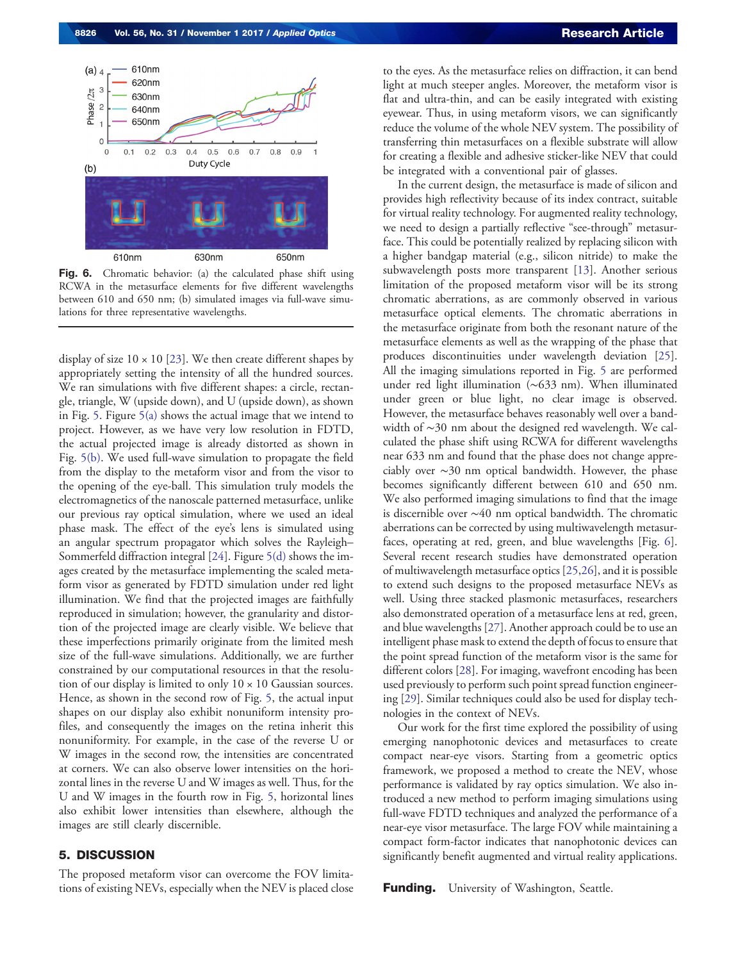

Fig. 6. Chromatic behavior: (a) the calculated phase shift using RCWA in the metasurface elements for five different wavelengths between 610 and 650 nm; (b) simulated images via full-wave simulations for three representative wavelengths.

display of size  $10 \times 10$  [\[23](#page-5-0)]. We then create different shapes by appropriately setting the intensity of all the hundred sources. We ran simulations with five different shapes: a circle, rectangle, triangle, W (upside down), and U (upside down), as shown in Fig. [5.](#page-3-0) Figure [5\(a\)](#page-3-0) shows the actual image that we intend to project. However, as we have very low resolution in FDTD, the actual projected image is already distorted as shown in Fig. [5\(b\).](#page-3-0) We used full-wave simulation to propagate the field from the display to the metaform visor and from the visor to the opening of the eye-ball. This simulation truly models the electromagnetics of the nanoscale patterned metasurface, unlike our previous ray optical simulation, where we used an ideal phase mask. The effect of the eye's lens is simulated using an angular spectrum propagator which solves the Rayleigh– Sommerfeld diffraction integral [[24\]](#page-5-0). Figure [5\(d\)](#page-3-0) shows the images created by the metasurface implementing the scaled metaform visor as generated by FDTD simulation under red light illumination. We find that the projected images are faithfully reproduced in simulation; however, the granularity and distortion of the projected image are clearly visible. We believe that these imperfections primarily originate from the limited mesh size of the full-wave simulations. Additionally, we are further constrained by our computational resources in that the resolution of our display is limited to only  $10 \times 10$  Gaussian sources. Hence, as shown in the second row of Fig. [5](#page-3-0), the actual input shapes on our display also exhibit nonuniform intensity profiles, and consequently the images on the retina inherit this nonuniformity. For example, in the case of the reverse U or W images in the second row, the intensities are concentrated at corners. We can also observe lower intensities on the horizontal lines in the reverse U and W images as well. Thus, for the U and W images in the fourth row in Fig. [5,](#page-3-0) horizontal lines also exhibit lower intensities than elsewhere, although the images are still clearly discernible.

## 5. DISCUSSION

The proposed metaform visor can overcome the FOV limitations of existing NEVs, especially when the NEV is placed close

to the eyes. As the metasurface relies on diffraction, it can bend light at much steeper angles. Moreover, the metaform visor is flat and ultra-thin, and can be easily integrated with existing eyewear. Thus, in using metaform visors, we can significantly reduce the volume of the whole NEV system. The possibility of transferring thin metasurfaces on a flexible substrate will allow for creating a flexible and adhesive sticker-like NEV that could be integrated with a conventional pair of glasses.

In the current design, the metasurface is made of silicon and provides high reflectivity because of its index contract, suitable for virtual reality technology. For augmented reality technology, we need to design a partially reflective "see-through" metasurface. This could be potentially realized by replacing silicon with a higher bandgap material (e.g., silicon nitride) to make the subwavelength posts more transparent [\[13](#page-5-0)]. Another serious limitation of the proposed metaform visor will be its strong chromatic aberrations, as are commonly observed in various metasurface optical elements. The chromatic aberrations in the metasurface originate from both the resonant nature of the metasurface elements as well as the wrapping of the phase that produces discontinuities under wavelength deviation [\[25](#page-5-0)]. All the imaging simulations reported in Fig. [5](#page-3-0) are performed under red light illumination (∼633 nm). When illuminated under green or blue light, no clear image is observed. However, the metasurface behaves reasonably well over a bandwidth of ∼30 nm about the designed red wavelength. We calculated the phase shift using RCWA for different wavelengths near 633 nm and found that the phase does not change appreciably over ∼30 nm optical bandwidth. However, the phase becomes significantly different between 610 and 650 nm. We also performed imaging simulations to find that the image is discernible over ∼40 nm optical bandwidth. The chromatic aberrations can be corrected by using multiwavelength metasurfaces, operating at red, green, and blue wavelengths [Fig. 6]. Several recent research studies have demonstrated operation of multiwavelength metasurface optics [\[25](#page-5-0),[26\]](#page-5-0), and it is possible to extend such designs to the proposed metasurface NEVs as well. Using three stacked plasmonic metasurfaces, researchers also demonstrated operation of a metasurface lens at red, green, and blue wavelengths [\[27](#page-5-0)]. Another approach could be to use an intelligent phase mask to extend the depth of focus to ensure that the point spread function of the metaform visor is the same for different colors [\[28](#page-5-0)]. For imaging, wavefront encoding has been used previously to perform such point spread function engineering [[29\]](#page-5-0). Similar techniques could also be used for display technologies in the context of NEVs.

Our work for the first time explored the possibility of using emerging nanophotonic devices and metasurfaces to create compact near-eye visors. Starting from a geometric optics framework, we proposed a method to create the NEV, whose performance is validated by ray optics simulation. We also introduced a new method to perform imaging simulations using full-wave FDTD techniques and analyzed the performance of a near-eye visor metasurface. The large FOV while maintaining a compact form-factor indicates that nanophotonic devices can significantly benefit augmented and virtual reality applications.

Funding. University of Washington, Seattle.